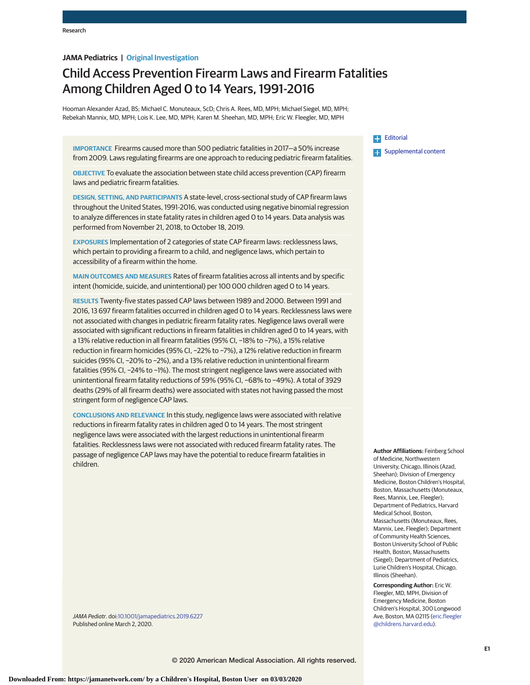# **JAMA Pediatrics | Original Investigation**

# Child Access Prevention Firearm Laws and Firearm Fatalities Among Children Aged 0 to 14 Years, 1991-2016

Hooman Alexander Azad, BS; Michael C. Monuteaux, ScD; Chris A. Rees, MD, MPH; Michael Siegel, MD, MPH; Rebekah Mannix, MD, MPH; Lois K. Lee, MD, MPH; Karen M. Sheehan, MD, MPH; Eric W. Fleegler, MD, MPH

**IMPORTANCE** Firearms caused more than 500 pediatric fatalities in 2017—a 50% increase from 2009. Laws regulating firearms are one approach to reducing pediatric firearm fatalities.

**OBJECTIVE** To evaluate the association between state child access prevention (CAP) firearm laws and pediatric firearm fatalities.

**DESIGN, SETTING, AND PARTICIPANTS** A state-level, cross-sectional study of CAP firearm laws throughout the United States, 1991-2016, was conducted using negative binomial regression to analyze differences in state fatality rates in children aged 0 to 14 years. Data analysis was performed from November 21, 2018, to October 18, 2019.

**EXPOSURES** Implementation of 2 categories of state CAP firearm laws: recklessness laws, which pertain to providing a firearm to a child, and negligence laws, which pertain to accessibility of a firearm within the home.

**MAIN OUTCOMES AND MEASURES** Rates of firearm fatalities across all intents and by specific intent (homicide, suicide, and unintentional) per 100 000 children aged 0 to 14 years.

**RESULTS** Twenty-five states passed CAP laws between 1989 and 2000. Between 1991 and 2016, 13 697 firearm fatalities occurred in children aged 0 to 14 years. Recklessness laws were not associated with changes in pediatric firearm fatality rates. Negligence laws overall were associated with significant reductions in firearm fatalities in children aged 0 to 14 years, with a 13% relative reduction in all firearm fatalities (95% CI, −18% to −7%), a 15% relative reduction in firearm homicides (95% CI, −22% to −7%), a 12% relative reduction in firearm suicides (95% CI, −20% to −2%), and a 13% relative reduction in unintentional firearm fatalities (95% CI, −24% to −1%). The most stringent negligence laws were associated with unintentional firearm fatality reductions of 59% (95% CI, −68% to −49%). A total of 3929 deaths (29% of all firearm deaths) were associated with states not having passed the most stringent form of negligence CAP laws.

**CONCLUSIONS AND RELEVANCE** In this study, negligence laws were associated with relative reductions in firearm fatality rates in children aged 0 to 14 years. The most stringent negligence laws were associated with the largest reductions in unintentional firearm fatalities. Recklessness laws were not associated with reduced firearm fatality rates. The passage of negligence CAP laws may have the potential to reduce firearm fatalities in children.

JAMA Pediatr. doi[:10.1001/jamapediatrics.2019.6227](https://jamanetwork.com/journals/jama/fullarticle/10.1001/jamapediatrics.2019.6227?utm_campaign=articlePDF%26utm_medium=articlePDFlink%26utm_source=articlePDF%26utm_content=jamapediatrics.2019.6227) Published online March 2, 2020.

**[Editorial](https://jamanetwork.com/journals/jama/fullarticle/10.1001/jamapediatrics.2019.6239?utm_campaign=articlePDF%26utm_medium=articlePDFlink%26utm_source=articlePDF%26utm_content=jamapediatrics.2019.6227) Examplemental content** 

**Author Affiliations:** Feinberg School of Medicine, Northwestern University, Chicago, Illinois (Azad, Sheehan); Division of Emergency Medicine, Boston Children's Hospital, Boston, Massachusetts (Monuteaux, Rees, Mannix, Lee, Fleegler); Department of Pediatrics, Harvard Medical School, Boston, Massachusetts (Monuteaux, Rees, Mannix, Lee, Fleegler); Department of Community Health Sciences, Boston University School of Public Health, Boston, Massachusetts (Siegel); Department of Pediatrics, Lurie Children's Hospital, Chicago, Illinois (Sheehan).

**Corresponding Author:** Eric W. Fleegler, MD, MPH, Division of Emergency Medicine, Boston Children's Hospital, 300 Longwood Ave, Boston, MA 02115 [\(eric.fleegler](mailto:eric.fleegler@childrens.harvard.edu) [@childrens.harvard.edu\)](mailto:eric.fleegler@childrens.harvard.edu).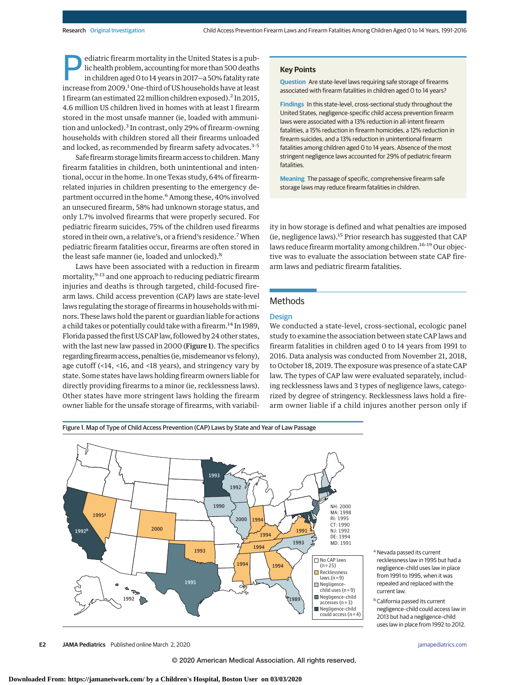ediatric firearm mortality in the United States is a pub-<br>lic health problem, accounting for more than 500 deaths<br>in children aged 0 to 14 years in 2017–a 50% fatality rate<br>increase from 2009 <sup>1</sup> Ope-third of US bouseholds lic health problem, accounting formore than 500 deaths increase from 2009.<sup>1</sup> One-third of US households have at least 1 firearm (an estimated 22 million children exposed).<sup>2</sup> In 2015, 4.6 million US children lived in homes with at least 1 firearm stored in the most unsafe manner (ie, loaded with ammunition and unlocked).<sup>3</sup> In contrast, only 29% of firearm-owning households with children stored all their firearms unloaded and locked, as recommended by firearm safety advocates.<sup>3-5</sup>

Safe firearm storage limits firearm access to children. Many firearm fatalities in children, both unintentional and intentional, occur in the home. In one Texas study, 64% of firearmrelated injuries in children presenting to the emergency department occurred in the home.<sup>6</sup> Among these, 40% involved an unsecured firearm, 58% had unknown storage status, and only 1.7% involved firearms that were properly secured. For pediatric firearm suicides, 75% of the children used firearms stored in their own, a relative's, or a friend's residence.7When pediatric firearm fatalities occur, firearms are often stored in the least safe manner (ie, loaded and unlocked).<sup>8</sup>

Laws have been associated with a reduction in firearm mortality, <sup>9-13</sup> and one approach to reducing pediatric firearm injuries and deaths is through targeted, child-focused firearm laws. Child access prevention (CAP) laws are state-level laws regulating the storage of firearms in households with minors. These laws hold the parent or guardian liable for actions a child takes or potentially could take with a firearm.14 In 1989, Florida passed the first US CAP law, followed by 24 other states, with the last new law passed in 2000 (Figure 1). The specifics regarding firearm access, penalties (ie, misdemeanor vs felony), age cutoff (<14, <16, and <18 years), and stringency vary by state. Some states have laws holding firearm owners liable for directly providing firearms to a minor (ie, recklessness laws). Other states have more stringent laws holding the firearm owner liable for the unsafe storage of firearms, with variabil-

#### **Key Points**

**Question** Are state-level laws requiring safe storage of firearms associated with firearm fatalities in children aged 0 to 14 years?

**Findings** In this state-level, cross-sectional study throughout the United States, negligence-specific child access prevention firearm laws were associated with a 13% reduction in all-intent firearm fatalities, a 15% reduction in firearm homicides, a 12% reduction in firearm suicides, and a 13% reduction in unintentional firearm fatalities among children aged 0 to 14 years. Absence of the most stringent negligence laws accounted for 29% of pediatric firearm fatalities.

**Meaning** The passage of specific, comprehensive firearm safe storage laws may reduce firearm fatalities in children.

ity in how storage is defined and what penalties are imposed (ie, negligence laws).15 Prior research has suggested that CAP laws reduce firearm mortality among children.<sup>16-19</sup> Our objective was to evaluate the association between state CAP firearm laws and pediatric firearm fatalities.

# **Methods**

## Design

We conducted a state-level, cross-sectional, ecologic panel study to examine the association between state CAP laws and firearm fatalities in children aged 0 to 14 years from 1991 to 2016. Data analysis was conducted from November 21, 2018, to October 18, 2019. The exposure was presence of a state CAP law. The types of CAP law were evaluated separately, including recklessness laws and 3 types of negligence laws, categorized by degree of stringency. Recklessness laws hold a firearm owner liable if a child injures another person only if





<sup>a</sup> Nevada passed its current recklessness law in 1995 but had a negligence–child uses law in place from 1991 to 1995, when it was repealed and replaced with the current law.

**b** California passed its current negligence–child could access law in 2013 but had a negligence–child uses law in place from 1992 to 2012.

**E2 JAMA Pediatrics** Published online March 2, 2020 **(Reprinted)** [jamapediatrics.com](http://www.jamapediatrics.com/?utm_campaign=articlePDF%26utm_medium=articlePDFlink%26utm_source=articlePDF%26utm_content=jamapediatrics.2019.6227)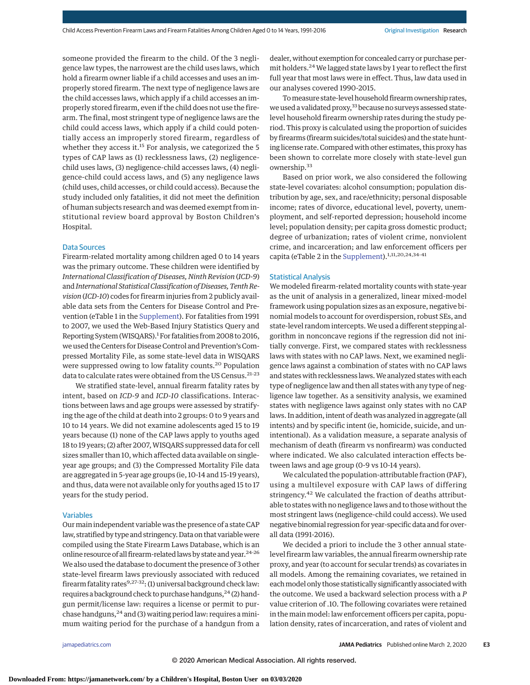someone provided the firearm to the child. Of the 3 negligence law types, the narrowest are the child uses laws, which hold a firearm owner liable if a child accesses and uses an improperly stored firearm. The next type of negligence laws are the child accesses laws, which apply if a child accesses an improperly stored firearm, even if the child does not use the firearm. The final, most stringent type of negligence laws are the child could access laws, which apply if a child could potentially access an improperly stored firearm, regardless of whether they access it.<sup>15</sup> For analysis, we categorized the 5 types of CAP laws as (1) recklessness laws, (2) negligencechild uses laws, (3) negligence-child accesses laws, (4) negligence-child could access laws, and (5) any negligence laws (child uses, child accesses, or child could access). Because the study included only fatalities, it did not meet the definition of human subjects research and was deemed exempt from institutional review board approval by Boston Children's Hospital.

## Data Sources

Firearm-related mortality among children aged 0 to 14 years was the primary outcome. These children were identified by *International Classification of Diseases, Ninth Revision* (*ICD-9*) and*International Statistical Classification of Diseases, Tenth Revision* (*ICD-10*) codes for firearm injuries from 2 publicly available data sets from the Centers for Disease Control and Prevention (eTable 1 in the [Supplement\)](https://jamanetwork.com/journals/jama/fullarticle/10.1001/jamapediatrics.2019.6227?utm_campaign=articlePDF%26utm_medium=articlePDFlink%26utm_source=articlePDF%26utm_content=jamapediatrics.2019.6227). For fatalities from 1991 to 2007, we used the Web-Based Injury Statistics Query and Reporting System (WISQARS).<sup>1</sup> For fatalities from 2008 to 2016, we used the Centers for Disease Control and Prevention's Compressed Mortality File, as some state-level data in WISQARS were suppressed owing to low fatality counts.<sup>20</sup> Population data to calculate rates were obtained from the US Census.<sup>21-23</sup>

We stratified state-level, annual firearm fatality rates by intent, based on *ICD-9* and *ICD-10* classifications. Interactions between laws and age groups were assessed by stratifying the age of the child at death into 2 groups: 0 to 9 years and 10 to 14 years. We did not examine adolescents aged 15 to 19 years because (1) none of the CAP laws apply to youths aged 18 to 19 years; (2) after 2007,WISQARS suppressed data for cell sizes smaller than 10, which affected data available on singleyear age groups; and (3) the Compressed Mortality File data are aggregated in 5-year age groups (ie, 10-14 and 15-19 years), and thus, data were not available only for youths aged 15 to 17 years for the study period.

#### Variables

Ourmain independent variable was the presence of a state CAP law, stratified by type and stringency. Data on that variablewere compiled using the State Firearm Laws Database, which is an online resource of all firearm-related laws by state and year.24-26 We also used the database to document the presence of 3 other state-level firearm laws previously associated with reduced firearm fatality rates<sup>9,27-32</sup>: (1) universal background check law: requires a background check to purchase handguns,<sup>24</sup> (2) handgun permit/license law: requires a license or permit to purchase handguns, $24$  and (3) waiting period law: requires a minimum waiting period for the purchase of a handgun from a

dealer, without exemption for concealed carry or purchase permit holders.<sup>24</sup> We lagged state laws by 1 year to reflect the first full year that most laws were in effect. Thus, law data used in our analyses covered 1990-2015.

Tomeasure state-level household firearm ownership rates, we used a validated proxy,<sup>33</sup> because no surveys assessed statelevel household firearm ownership rates during the study period. This proxy is calculated using the proportion of suicides by firearms (firearm suicides/total suicides) and the state hunting license rate. Compared with other estimates, this proxy has been shown to correlate more closely with state-level gun ownership.<sup>33</sup>

Based on prior work, we also considered the following state-level covariates: alcohol consumption; population distribution by age, sex, and race/ethnicity; personal disposable income; rates of divorce, educational level, poverty, unemployment, and self-reported depression; household income level; population density; per capita gross domestic product; degree of urbanization; rates of violent crime, nonviolent crime, and incarceration; and law enforcement officers per capita (eTable 2 in the [Supplement\)](https://jamanetwork.com/journals/jama/fullarticle/10.1001/jamapediatrics.2019.6227?utm_campaign=articlePDF%26utm_medium=articlePDFlink%26utm_source=articlePDF%26utm_content=jamapediatrics.2019.6227).<sup>1,11,20,24,34-41</sup>

## Statistical Analysis

We modeled firearm-related mortality counts with state-year as the unit of analysis in a generalized, linear mixed-model framework using population sizes as an exposure, negative binomial models to account for overdispersion, robust SEs, and state-level random intercepts.We used a different stepping algorithm in nonconcave regions if the regression did not initially converge. First, we compared states with recklessness laws with states with no CAP laws. Next, we examined negligence laws against a combination of states with no CAP laws and states with recklessness laws.We analyzed states with each type of negligence law and then all states with any type of negligence law together. As a sensitivity analysis, we examined states with negligence laws against only states with no CAP laws. In addition, intent of death was analyzed in aggregate (all intents) and by specific intent (ie, homicide, suicide, and unintentional). As a validation measure, a separate analysis of mechanism of death (firearm vs nonfirearm) was conducted where indicated. We also calculated interaction effects between laws and age group (0-9 vs 10-14 years).

We calculated the population-attributable fraction (PAF), using a multilevel exposure with CAP laws of differing stringency.<sup>42</sup> We calculated the fraction of deaths attributable to states with no negligence laws and to those without the most stringent laws (negligence-child could access). We used negative binomial regression for year-specific data and for overall data (1991-2016).

We decided a priori to include the 3 other annual statelevel firearm law variables, the annual firearm ownership rate proxy, and year (to account for secular trends) as covariates in all models. Among the remaining covariates, we retained in each model only those statistically significantly associated with the outcome. We used a backward selection process with a *P* value criterion of .10. The following covariates were retained in the main model: law enforcement officers per capita, population density, rates of incarceration, and rates of violent and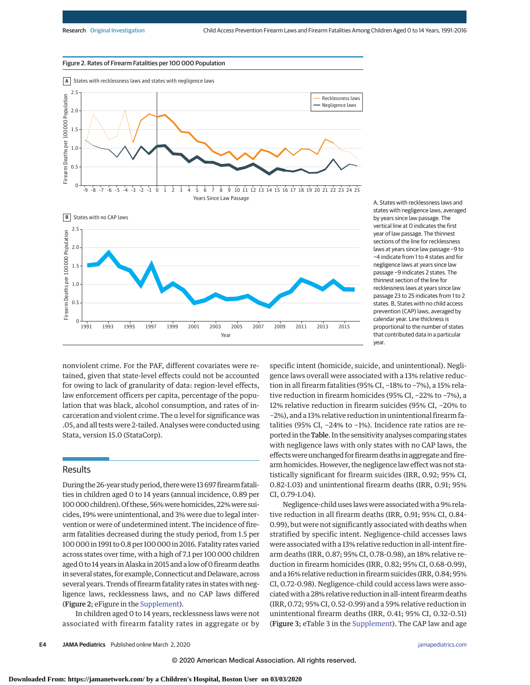

A, States with recklessness laws and states with negligence laws, averaged by years since law passage. The vertical line at 0 indicates the first year of law passage. The thinnest sections of the line for recklessness laws at years since law passage −9 to −4 indicate from 1 to 4 states and for negligence laws at years since law passage −9 indicates 2 states. The thinnest section of the line for recklessness laws at years since law passage 23 to 25 indicates from 1 to 2 states. B, States with no child access prevention (CAP) laws, averaged by calendar year. Line thickness is proportional to the number of states that contributed data in a particular year.

nonviolent crime. For the PAF, different covariates were retained, given that state-level effects could not be accounted for owing to lack of granularity of data: region-level effects, law enforcement officers per capita, percentage of the population that was black, alcohol consumption, and rates of incarceration and violent crime. The α level for significance was .05, and all tests were 2-tailed. Analyses were conducted using Stata, version 15.0 (StataCorp).

## **Results**

During the 26-year study period, therewere 13 697 firearm fatalities in children aged 0 to 14 years (annual incidence, 0.89 per 100 000 children). Of these, 56% were homicides, 22% were suicides, 19% were unintentional, and 3% were due to legal intervention or were of undetermined intent. The incidence of firearm fatalities decreased during the study period, from 1.5 per 100 000 in 1991 to 0.8 per 100 000 in 2016. Fatality rates varied across states over time, with a high of 7.1 per 100 000 children aged 0 to 14 years in Alaska in 2015 and a low of 0 firearm deaths in several states, for example, Connecticut and Delaware, across several years. Trends of firearm fatality rates in states with negligence laws, recklessness laws, and no CAP laws differed (Figure 2; eFigure in the [Supplement\)](https://jamanetwork.com/journals/jama/fullarticle/10.1001/jamapediatrics.2019.6227?utm_campaign=articlePDF%26utm_medium=articlePDFlink%26utm_source=articlePDF%26utm_content=jamapediatrics.2019.6227).

In children aged 0 to 14 years, recklessness laws were not associated with firearm fatality rates in aggregate or by specific intent (homicide, suicide, and unintentional). Negligence laws overall were associated with a 13% relative reduction in all firearm fatalities (95% CI, −18% to −7%), a 15% relative reduction in firearm homicides (95% CI, −22% to −7%), a 12% relative reduction in firearm suicides (95% CI, −20% to −2%), and a 13% relative reduction in unintentional firearm fatalities (95% CI, −24% to −1%). Incidence rate ratios are reported in the Table. In the sensitivity analyses comparing states with negligence laws with only states with no CAP laws, the effectswere unchanged for firearm deaths in aggregate and firearm homicides. However, the negligence law effect was not statistically significant for firearm suicides (IRR, 0.92; 95% CI, 0.82-1.03) and unintentional firearm deaths (IRR, 0.91; 95% CI, 0.79-1.04).

Negligence-child uses laws were associated with a 9% relative reduction in all firearm deaths (IRR, 0.91; 95% CI, 0.84- 0.99), but were not significantly associated with deaths when stratified by specific intent. Negligence-child accesses laws were associated with a 13% relative reduction in all-intent firearm deaths (IRR, 0.87; 95% CI, 0.78-0.98), an 18% relative reduction in firearm homicides (IRR, 0.82; 95% CI, 0.68-0.99), and a 16% relative reduction in firearm suicides (IRR, 0.84; 95% CI, 0.72-0.98). Negligence-child could access laws were associated with a 28% relative reduction in all-intent firearm deaths (IRR, 0.72; 95% CI, 0.52-0.99) and a 59% relative reduction in unintentional firearm deaths (IRR, 0.41; 95% CI, 0.32-0.51) (Figure 3; eTable 3 in the [Supplement\)](https://jamanetwork.com/journals/jama/fullarticle/10.1001/jamapediatrics.2019.6227?utm_campaign=articlePDF%26utm_medium=articlePDFlink%26utm_source=articlePDF%26utm_content=jamapediatrics.2019.6227). The CAP law and age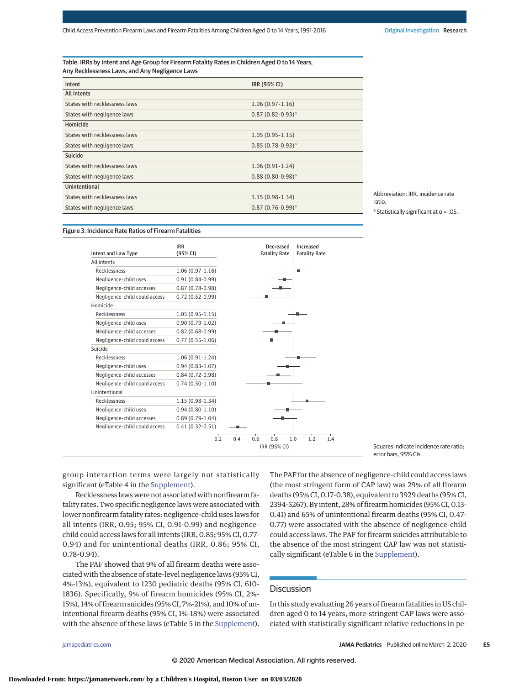Table. IRRs by Intent and Age Group for Firearm Fatality Rates in Children Aged 0 to 14 Years, Any Recklessness Laws, and Any Negligence Laws

| Intent                        | <b>IRR (95% CI)</b>   |
|-------------------------------|-----------------------|
| <b>All intents</b>            |                       |
| States with recklessness laws | $1.06(0.97-1.16)$     |
| States with negligence laws   | $0.87(0.82 - 0.93)^a$ |
| Homicide                      |                       |
| States with recklessness laws | $1.05(0.95-1.15)$     |
| States with negligence laws   | $0.85(0.78-0.93)^a$   |
| Suicide                       |                       |
| States with recklessness laws | $1.06(0.91-1.24)$     |
| States with negligence laws   | $0.88(0.80 - 0.98)^a$ |
| Unintentional                 |                       |
| States with recklessness laws | $1.15(0.98-1.34)$     |
| States with negligence laws   | $0.87(0.76-0.99)^a$   |

wiation: IRR, incidence rate

istically significant at  $a = .05$ .

## Figure 3. Incidence Rate Ratios of Firearm Fatalities



Squares indicate incidence rate ratio; error bars, 95% CIs.

group interaction terms were largely not statistically significant (eTable 4 in the [Supplement\)](https://jamanetwork.com/journals/jama/fullarticle/10.1001/jamapediatrics.2019.6227?utm_campaign=articlePDF%26utm_medium=articlePDFlink%26utm_source=articlePDF%26utm_content=jamapediatrics.2019.6227).

Recklessness laws were not associated with nonfirearm fatality rates. Two specific negligence laws were associated with lower nonfirearm fatality rates: negligence-child uses laws for all intents (IRR, 0.95; 95% CI, 0.91-0.99) and negligencechild could access laws for all intents (IRR, 0.85; 95% CI, 0.77- 0.94) and for unintentional deaths (IRR, 0.86; 95% CI, 0.78-0.94).

The PAF showed that 9% of all firearm deaths were associated with the absence of state-level negligence laws (95% CI, 4%-13%), equivalent to 1230 pediatric deaths (95% CI, 610- 1836). Specifically, 9% of firearm homicides (95% CI, 2%- 15%), 14% of firearm suicides (95% CI, 7%-21%), and 10% of unintentional firearm deaths (95% CI, 1%-18%) were associated with the absence of these laws (eTable 5 in the [Supplement\)](https://jamanetwork.com/journals/jama/fullarticle/10.1001/jamapediatrics.2019.6227?utm_campaign=articlePDF%26utm_medium=articlePDFlink%26utm_source=articlePDF%26utm_content=jamapediatrics.2019.6227). The PAF for the absence of negligence-child could access laws (the most stringent form of CAP law) was 29% of all firearm deaths (95% CI, 0.17-0.38), equivalent to 3929 deaths (95% CI, 2394-5267). By intent, 28% of firearm homicides (95% CI, 0.13- 0.41) and 65% of unintentional firearm deaths (95% CI, 0.47- 0.77) were associated with the absence of negligence-child could access laws. The PAF for firearm suicides attributable to the absence of the most stringent CAP law was not statistically significant (eTable 6 in the [Supplement\)](https://jamanetwork.com/journals/jama/fullarticle/10.1001/jamapediatrics.2019.6227?utm_campaign=articlePDF%26utm_medium=articlePDFlink%26utm_source=articlePDF%26utm_content=jamapediatrics.2019.6227).

## **Discussion**

In this study evaluating 26 years of firearm fatalities in US children aged 0 to 14 years, more-stringent CAP laws were associated with statistically significant relative reductions in pe-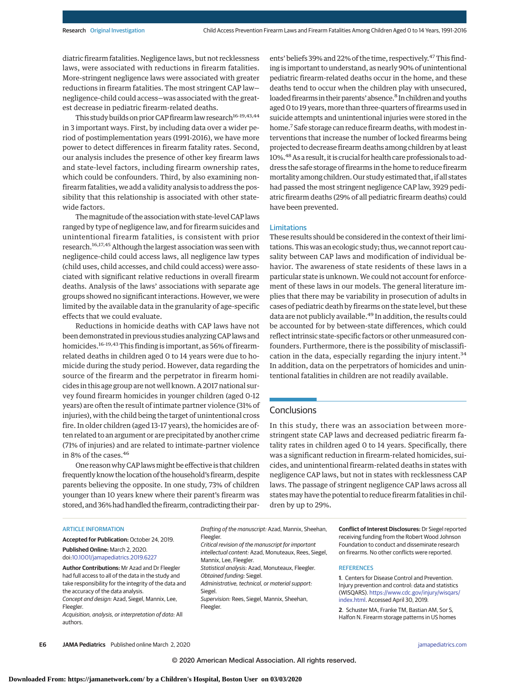diatric firearm fatalities. Negligence laws, but not recklessness laws, were associated with reductions in firearm fatalities. More-stringent negligence laws were associated with greater reductions in firearm fatalities. The most stringent CAP law negligence-child could access—was associated with the greatest decrease in pediatric firearm-related deaths.

This study builds on prior CAP firearm law research<sup>16-19,43,44</sup> in 3 important ways. First, by including data over a wider period of postimplementation years (1991-2016), we have more power to detect differences in firearm fatality rates. Second, our analysis includes the presence of other key firearm laws and state-level factors, including firearm ownership rates, which could be confounders. Third, by also examining nonfirearm fatalities, we add a validity analysis to address the possibility that this relationship is associated with other statewide factors.

The magnitude of the association with state-level CAP laws ranged by type of negligence law, and for firearm suicides and unintentional firearm fatalities, is consistent with prior research.<sup>16,17,45</sup> Although the largest association was seen with negligence-child could access laws, all negligence law types (child uses, child accesses, and child could access) were associated with significant relative reductions in overall firearm deaths. Analysis of the laws' associations with separate age groups showed no significant interactions. However, we were limited by the available data in the granularity of age-specific effects that we could evaluate.

Reductions in homicide deaths with CAP laws have not been demonstrated in previous studies analyzing CAP laws and homicides.<sup>16-19,43</sup> This finding is important, as 56% of firearmrelated deaths in children aged 0 to 14 years were due to homicide during the study period. However, data regarding the source of the firearm and the perpetrator in firearm homicides in this age group are not well known. A 2017 national survey found firearm homicides in younger children (aged 0-12 years) are often the result of intimate partner violence (31% of injuries), with the child being the target of unintentional cross fire. In older children (aged 13-17 years), the homicides are often related to an argument or are precipitated by another crime (71% of injuries) and are related to intimate-partner violence in 8% of the cases.<sup>46</sup>

One reason why CAP laws might be effective is that children frequently know the location of the household's firearm, despite parents believing the opposite. In one study, 73% of children younger than 10 years knew where their parent's firearm was stored, and 36% had handled the firearm, contradicting their parents' beliefs 39% and 22% of the time, respectively.<sup>47</sup> This finding is important to understand, as nearly 90% of unintentional pediatric firearm-related deaths occur in the home, and these deaths tend to occur when the children play with unsecured, loaded firearms in their parents' absence.<sup>8</sup> In children and youths aged 0 to 19 years, more than three-quarters of firearms used in suicide attempts and unintentional injuries were stored in the home.<sup>7</sup> Safe storage can reduce firearm deaths, with modest interventions that increase the number of locked firearms being projected to decrease firearm deaths among children by at least 10%.48As a result, it is crucial for health care professionals to address the safe storage of firearms in the home to reduce firearm mortality among children. Our study estimated that, if all states had passed the most stringent negligence CAP law, 3929 pediatric firearm deaths (29% of all pediatric firearm deaths) could have been prevented.

### Limitations

These results should be considered in the context of their limitations. This was an ecologic study; thus, we cannot report causality between CAP laws and modification of individual behavior. The awareness of state residents of these laws in a particular state is unknown.We could not account for enforcement of these laws in our models. The general literature implies that there may be variability in prosecution of adults in cases of pediatric death by firearms on the state level, but these data are not publicly available.<sup>49</sup> In addition, the results could be accounted for by between-state differences, which could reflect intrinsic state-specific factors or other unmeasured confounders. Furthermore, there is the possibility of misclassification in the data, especially regarding the injury intent. $34$ In addition, data on the perpetrators of homicides and unintentional fatalities in children are not readily available.

## Conclusions

In this study, there was an association between morestringent state CAP laws and decreased pediatric firearm fatality rates in children aged 0 to 14 years. Specifically, there was a significant reduction in firearm-related homicides, suicides, and unintentional firearm-related deaths in states with negligence CAP laws, but not in states with recklessness CAP laws. The passage of stringent negligence CAP laws across all states may have the potential to reduce firearm fatalities in children by up to 29%.

#### ARTICLE INFORMATION

**Accepted for Publication:** October 24, 2019.

**Published Online:** March 2, 2020. doi[:10.1001/jamapediatrics.2019.6227](https://jamanetwork.com/journals/jama/fullarticle/10.1001/jamapediatrics.2019.6227?utm_campaign=articlePDF%26utm_medium=articlePDFlink%26utm_source=articlePDF%26utm_content=jamapediatrics.2019.6227)

**Author Contributions:** Mr Azad and Dr Fleegler had full access to all of the data in the study and take responsibility for the integrity of the data and the accuracy of the data analysis. Concept and design: Azad, Siegel, Mannix, Lee, Fleegler. Acquisition, analysis, or interpretation of data: All

authors.

Critical revision of the manuscript for important intellectual content: Azad, Monuteaux, Rees, Siegel, Mannix, Lee, Fleegler. Statistical analysis: Azad, Monuteaux, Fleegler. Obtained funding: Siegel. Administrative, technical, or material support: Siegel. Supervision: Rees, Siegel, Mannix, Sheehan, Fleegler.

Drafting of the manuscript: Azad, Mannix, Sheehan,

Fleegler.

**Conflict of Interest Disclosures:** Dr Siegel reported receiving funding from the Robert Wood Johnson Foundation to conduct and disseminate research on firearms. No other conflicts were reported.

#### **REFERENCES**

**1**. Centers for Disease Control and Prevention. Injury prevention and control: data and statistics (WISQARS). [https://www.cdc.gov/injury/wisqars/](https://www.cdc.gov/injury/wisqars/index.html) [index.html.](https://www.cdc.gov/injury/wisqars/index.html) Accessed April 30, 2019.

**2**. Schuster MA, Franke TM, Bastian AM, Sor S, Halfon N. Firearm storage patterns in US homes

**E6 JAMA Pediatrics** Published online March 2, 2020 **(Reprinted)** [jamapediatrics.com](http://www.jamapediatrics.com/?utm_campaign=articlePDF%26utm_medium=articlePDFlink%26utm_source=articlePDF%26utm_content=jamapediatrics.2019.6227)